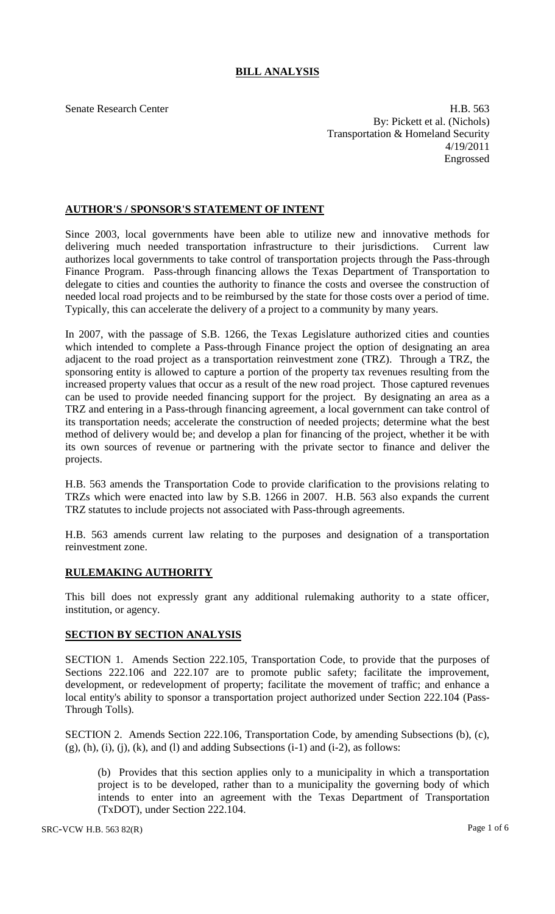## **BILL ANALYSIS**

Senate Research Center **H.B.** 563 By: Pickett et al. (Nichols) Transportation & Homeland Security 4/19/2011 Engrossed

## **AUTHOR'S / SPONSOR'S STATEMENT OF INTENT**

Since 2003, local governments have been able to utilize new and innovative methods for delivering much needed transportation infrastructure to their jurisdictions. Current law authorizes local governments to take control of transportation projects through the Pass-through Finance Program. Pass-through financing allows the Texas Department of Transportation to delegate to cities and counties the authority to finance the costs and oversee the construction of needed local road projects and to be reimbursed by the state for those costs over a period of time. Typically, this can accelerate the delivery of a project to a community by many years.

In 2007, with the passage of S.B. 1266, the Texas Legislature authorized cities and counties which intended to complete a Pass-through Finance project the option of designating an area adjacent to the road project as a transportation reinvestment zone (TRZ). Through a TRZ, the sponsoring entity is allowed to capture a portion of the property tax revenues resulting from the increased property values that occur as a result of the new road project. Those captured revenues can be used to provide needed financing support for the project. By designating an area as a TRZ and entering in a Pass-through financing agreement, a local government can take control of its transportation needs; accelerate the construction of needed projects; determine what the best method of delivery would be; and develop a plan for financing of the project, whether it be with its own sources of revenue or partnering with the private sector to finance and deliver the projects.

H.B. 563 amends the Transportation Code to provide clarification to the provisions relating to TRZs which were enacted into law by S.B. 1266 in 2007. H.B. 563 also expands the current TRZ statutes to include projects not associated with Pass-through agreements.

H.B. 563 amends current law relating to the purposes and designation of a transportation reinvestment zone.

## **RULEMAKING AUTHORITY**

This bill does not expressly grant any additional rulemaking authority to a state officer, institution, or agency.

## **SECTION BY SECTION ANALYSIS**

SECTION 1. Amends Section 222.105, Transportation Code, to provide that the purposes of Sections 222.106 and 222.107 are to promote public safety; facilitate the improvement, development, or redevelopment of property; facilitate the movement of traffic; and enhance a local entity's ability to sponsor a transportation project authorized under Section 222.104 (Pass-Through Tolls).

SECTION 2. Amends Section 222.106, Transportation Code, by amending Subsections (b), (c),  $(g)$ ,  $(h)$ ,  $(i)$ ,  $(i)$ ,  $(k)$ , and  $(l)$  and adding Subsections  $(i-1)$  and  $(i-2)$ , as follows:

(b) Provides that this section applies only to a municipality in which a transportation project is to be developed, rather than to a municipality the governing body of which intends to enter into an agreement with the Texas Department of Transportation (TxDOT), under Section 222.104.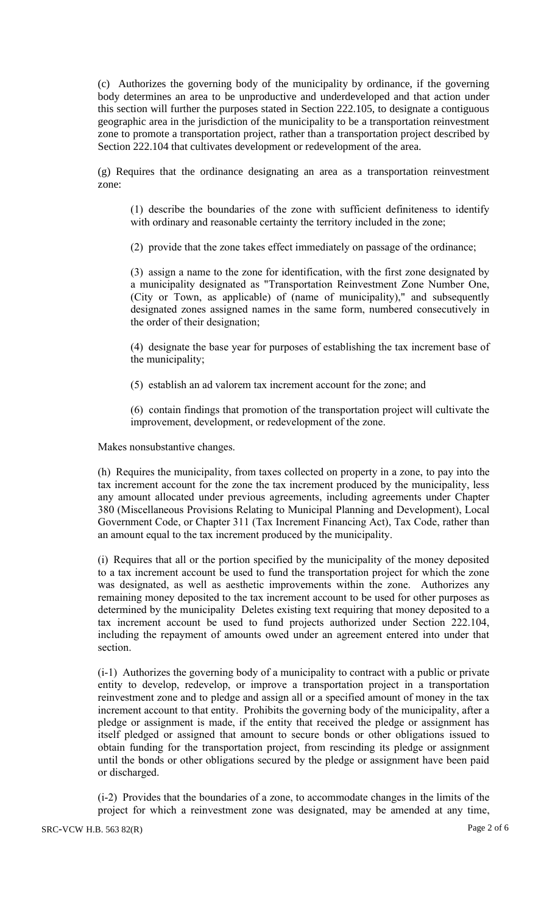(c) Authorizes the governing body of the municipality by ordinance, if the governing body determines an area to be unproductive and underdeveloped and that action under this section will further the purposes stated in Section 222.105, to designate a contiguous geographic area in the jurisdiction of the municipality to be a transportation reinvestment zone to promote a transportation project, rather than a transportation project described by Section 222.104 that cultivates development or redevelopment of the area.

(g) Requires that the ordinance designating an area as a transportation reinvestment zone:

(1) describe the boundaries of the zone with sufficient definiteness to identify with ordinary and reasonable certainty the territory included in the zone;

(2) provide that the zone takes effect immediately on passage of the ordinance;

(3) assign a name to the zone for identification, with the first zone designated by a municipality designated as "Transportation Reinvestment Zone Number One, (City or Town, as applicable) of (name of municipality)," and subsequently designated zones assigned names in the same form, numbered consecutively in the order of their designation;

(4) designate the base year for purposes of establishing the tax increment base of the municipality;

(5) establish an ad valorem tax increment account for the zone; and

(6) contain findings that promotion of the transportation project will cultivate the improvement, development, or redevelopment of the zone.

Makes nonsubstantive changes.

(h) Requires the municipality, from taxes collected on property in a zone, to pay into the tax increment account for the zone the tax increment produced by the municipality, less any amount allocated under previous agreements, including agreements under Chapter 380 (Miscellaneous Provisions Relating to Municipal Planning and Development), Local Government Code, or Chapter 311 (Tax Increment Financing Act), Tax Code, rather than an amount equal to the tax increment produced by the municipality.

(i) Requires that all or the portion specified by the municipality of the money deposited to a tax increment account be used to fund the transportation project for which the zone was designated, as well as aesthetic improvements within the zone. Authorizes any remaining money deposited to the tax increment account to be used for other purposes as determined by the municipality Deletes existing text requiring that money deposited to a tax increment account be used to fund projects authorized under Section 222.104, including the repayment of amounts owed under an agreement entered into under that section.

(i-1) Authorizes the governing body of a municipality to contract with a public or private entity to develop, redevelop, or improve a transportation project in a transportation reinvestment zone and to pledge and assign all or a specified amount of money in the tax increment account to that entity. Prohibits the governing body of the municipality, after a pledge or assignment is made, if the entity that received the pledge or assignment has itself pledged or assigned that amount to secure bonds or other obligations issued to obtain funding for the transportation project, from rescinding its pledge or assignment until the bonds or other obligations secured by the pledge or assignment have been paid or discharged.

(i-2) Provides that the boundaries of a zone, to accommodate changes in the limits of the project for which a reinvestment zone was designated, may be amended at any time,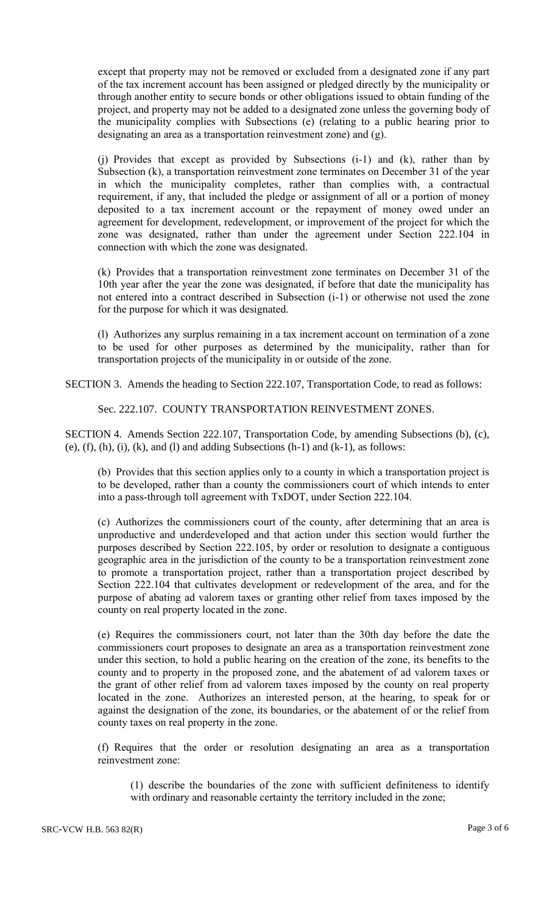except that property may not be removed or excluded from a designated zone if any part of the tax increment account has been assigned or pledged directly by the municipality or through another entity to secure bonds or other obligations issued to obtain funding of the project, and property may not be added to a designated zone unless the governing body of the municipality complies with Subsections (e) (relating to a public hearing prior to designating an area as a transportation reinvestment zone) and (g).

(j) Provides that except as provided by Subsections (i-1) and (k), rather than by Subsection (k), a transportation reinvestment zone terminates on December 31 of the year in which the municipality completes, rather than complies with, a contractual requirement, if any, that included the pledge or assignment of all or a portion of money deposited to a tax increment account or the repayment of money owed under an agreement for development, redevelopment, or improvement of the project for which the zone was designated, rather than under the agreement under Section 222.104 in connection with which the zone was designated.

(k) Provides that a transportation reinvestment zone terminates on December 31 of the 10th year after the year the zone was designated, if before that date the municipality has not entered into a contract described in Subsection (i-1) or otherwise not used the zone for the purpose for which it was designated.

(l) Authorizes any surplus remaining in a tax increment account on termination of a zone to be used for other purposes as determined by the municipality, rather than for transportation projects of the municipality in or outside of the zone.

SECTION 3. Amends the heading to Section 222.107, Transportation Code, to read as follows:

Sec. 222.107. COUNTY TRANSPORTATION REINVESTMENT ZONES.

SECTION 4. Amends Section 222.107, Transportation Code, by amending Subsections (b), (c), (e),  $(f)$ ,  $(h)$ ,  $(i)$ ,  $(k)$ , and  $(l)$  and adding Subsections  $(h-1)$  and  $(k-1)$ , as follows:

(b) Provides that this section applies only to a county in which a transportation project is to be developed, rather than a county the commissioners court of which intends to enter into a pass-through toll agreement with TxDOT, under Section 222.104.

(c) Authorizes the commissioners court of the county, after determining that an area is unproductive and underdeveloped and that action under this section would further the purposes described by Section 222.105, by order or resolution to designate a contiguous geographic area in the jurisdiction of the county to be a transportation reinvestment zone to promote a transportation project, rather than a transportation project described by Section 222.104 that cultivates development or redevelopment of the area, and for the purpose of abating ad valorem taxes or granting other relief from taxes imposed by the county on real property located in the zone.

(e) Requires the commissioners court, not later than the 30th day before the date the commissioners court proposes to designate an area as a transportation reinvestment zone under this section, to hold a public hearing on the creation of the zone, its benefits to the county and to property in the proposed zone, and the abatement of ad valorem taxes or the grant of other relief from ad valorem taxes imposed by the county on real property located in the zone. Authorizes an interested person, at the hearing, to speak for or against the designation of the zone, its boundaries, or the abatement of or the relief from county taxes on real property in the zone.

(f) Requires that the order or resolution designating an area as a transportation reinvestment zone:

(1) describe the boundaries of the zone with sufficient definiteness to identify with ordinary and reasonable certainty the territory included in the zone;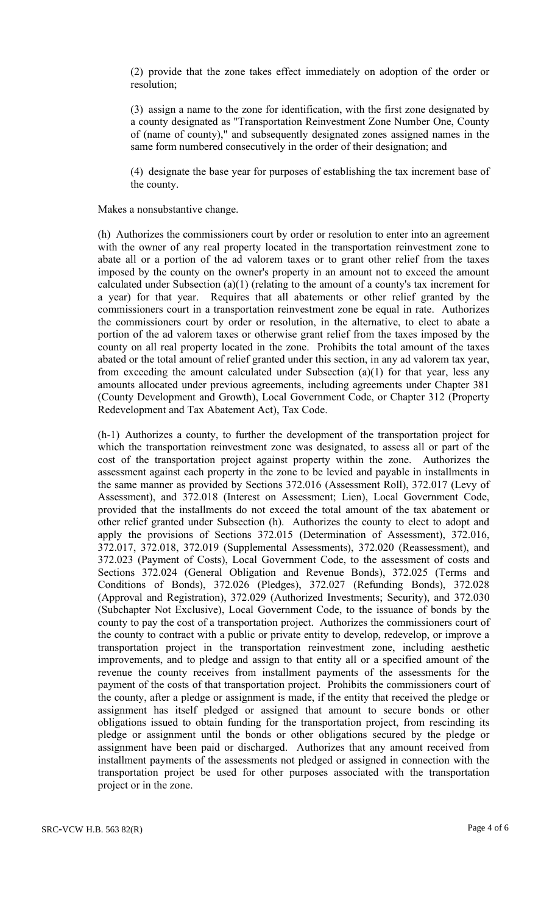(2) provide that the zone takes effect immediately on adoption of the order or resolution;

(3) assign a name to the zone for identification, with the first zone designated by a county designated as "Transportation Reinvestment Zone Number One, County of (name of county)," and subsequently designated zones assigned names in the same form numbered consecutively in the order of their designation; and

(4) designate the base year for purposes of establishing the tax increment base of the county.

Makes a nonsubstantive change.

(h) Authorizes the commissioners court by order or resolution to enter into an agreement with the owner of any real property located in the transportation reinvestment zone to abate all or a portion of the ad valorem taxes or to grant other relief from the taxes imposed by the county on the owner's property in an amount not to exceed the amount calculated under Subsection (a)(1) (relating to the amount of a county's tax increment for a year) for that year. Requires that all abatements or other relief granted by the commissioners court in a transportation reinvestment zone be equal in rate. Authorizes the commissioners court by order or resolution, in the alternative, to elect to abate a portion of the ad valorem taxes or otherwise grant relief from the taxes imposed by the county on all real property located in the zone. Prohibits the total amount of the taxes abated or the total amount of relief granted under this section, in any ad valorem tax year, from exceeding the amount calculated under Subsection (a)(1) for that year, less any amounts allocated under previous agreements, including agreements under Chapter 381 (County Development and Growth), Local Government Code, or Chapter 312 (Property Redevelopment and Tax Abatement Act), Tax Code.

(h-1) Authorizes a county, to further the development of the transportation project for which the transportation reinvestment zone was designated, to assess all or part of the cost of the transportation project against property within the zone. Authorizes the assessment against each property in the zone to be levied and payable in installments in the same manner as provided by Sections 372.016 (Assessment Roll), 372.017 (Levy of Assessment), and 372.018 (Interest on Assessment; Lien), Local Government Code, provided that the installments do not exceed the total amount of the tax abatement or other relief granted under Subsection (h). Authorizes the county to elect to adopt and apply the provisions of Sections 372.015 (Determination of Assessment), 372.016, 372.017, 372.018, 372.019 (Supplemental Assessments), 372.020 (Reassessment), and 372.023 (Payment of Costs), Local Government Code, to the assessment of costs and Sections 372.024 (General Obligation and Revenue Bonds), 372.025 (Terms and Conditions of Bonds), 372.026 (Pledges), 372.027 (Refunding Bonds), 372.028 (Approval and Registration), 372.029 (Authorized Investments; Security), and 372.030 (Subchapter Not Exclusive), Local Government Code, to the issuance of bonds by the county to pay the cost of a transportation project. Authorizes the commissioners court of the county to contract with a public or private entity to develop, redevelop, or improve a transportation project in the transportation reinvestment zone, including aesthetic improvements, and to pledge and assign to that entity all or a specified amount of the revenue the county receives from installment payments of the assessments for the payment of the costs of that transportation project. Prohibits the commissioners court of the county, after a pledge or assignment is made, if the entity that received the pledge or assignment has itself pledged or assigned that amount to secure bonds or other obligations issued to obtain funding for the transportation project, from rescinding its pledge or assignment until the bonds or other obligations secured by the pledge or assignment have been paid or discharged. Authorizes that any amount received from installment payments of the assessments not pledged or assigned in connection with the transportation project be used for other purposes associated with the transportation project or in the zone.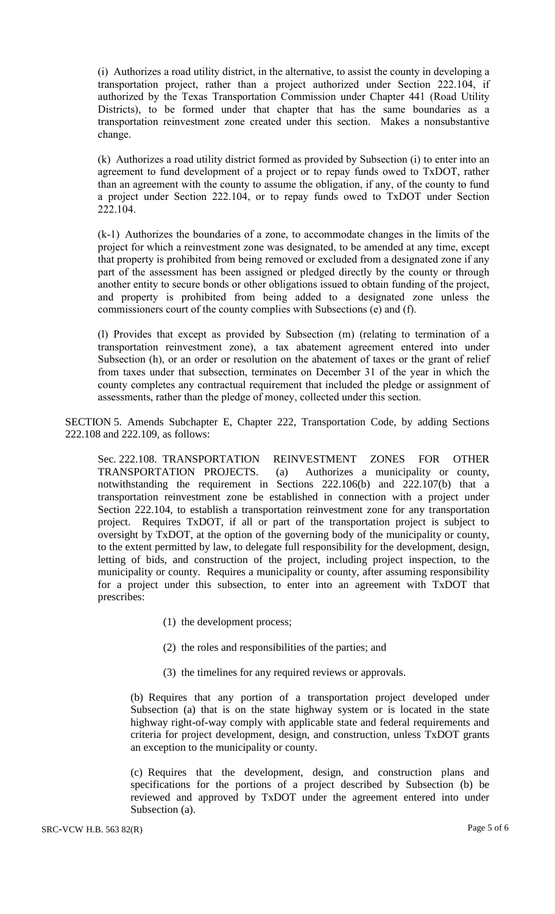(i) Authorizes a road utility district, in the alternative, to assist the county in developing a transportation project, rather than a project authorized under Section 222.104, if authorized by the Texas Transportation Commission under Chapter 441 (Road Utility Districts), to be formed under that chapter that has the same boundaries as a transportation reinvestment zone created under this section. Makes a nonsubstantive change.

(k) Authorizes a road utility district formed as provided by Subsection (i) to enter into an agreement to fund development of a project or to repay funds owed to TxDOT, rather than an agreement with the county to assume the obligation, if any, of the county to fund a project under Section 222.104, or to repay funds owed to TxDOT under Section 222.104.

(k-1) Authorizes the boundaries of a zone, to accommodate changes in the limits of the project for which a reinvestment zone was designated, to be amended at any time, except that property is prohibited from being removed or excluded from a designated zone if any part of the assessment has been assigned or pledged directly by the county or through another entity to secure bonds or other obligations issued to obtain funding of the project, and property is prohibited from being added to a designated zone unless the commissioners court of the county complies with Subsections (e) and (f).

(l) Provides that except as provided by Subsection (m) (relating to termination of a transportation reinvestment zone), a tax abatement agreement entered into under Subsection (h), or an order or resolution on the abatement of taxes or the grant of relief from taxes under that subsection, terminates on December 31 of the year in which the county completes any contractual requirement that included the pledge or assignment of assessments, rather than the pledge of money, collected under this section.

SECTION 5. Amends Subchapter E, Chapter 222, Transportation Code, by adding Sections 222.108 and 222.109, as follows:

Sec. 222.108. TRANSPORTATION REINVESTMENT ZONES FOR OTHER TRANSPORTATION PROJECTS. (a) Authorizes a municipality or county, notwithstanding the requirement in Sections 222.106(b) and 222.107(b) that a transportation reinvestment zone be established in connection with a project under Section 222.104, to establish a transportation reinvestment zone for any transportation project. Requires TxDOT, if all or part of the transportation project is subject to oversight by TxDOT, at the option of the governing body of the municipality or county, to the extent permitted by law, to delegate full responsibility for the development, design, letting of bids, and construction of the project, including project inspection, to the municipality or county. Requires a municipality or county, after assuming responsibility for a project under this subsection, to enter into an agreement with TxDOT that prescribes:

- (1) the development process;
- (2) the roles and responsibilities of the parties; and
- (3) the timelines for any required reviews or approvals.

(b) Requires that any portion of a transportation project developed under Subsection (a) that is on the state highway system or is located in the state highway right-of-way comply with applicable state and federal requirements and criteria for project development, design, and construction, unless TxDOT grants an exception to the municipality or county.

(c) Requires that the development, design, and construction plans and specifications for the portions of a project described by Subsection (b) be reviewed and approved by TxDOT under the agreement entered into under Subsection (a).